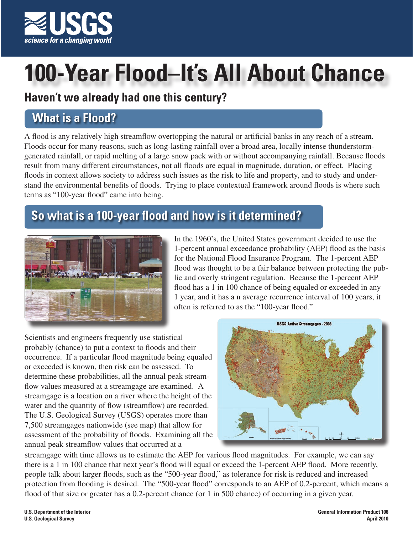

# **100-Year Flood–It's All About Chance**

#### **Haven't we already had one this century?**

# **What is a Flood?**

A flood is any relatively high streamflow overtopping the natural or artificial banks in any reach of a stream. Floods occur for many reasons, such as long-lasting rainfall over a broad area, locally intense thunderstormgenerated rainfall, or rapid melting of a large snow pack with or without accompanying rainfall. Because floods result from many different circumstances, not all floods are equal in magnitude, duration, or effect. Placing floods in context allows society to address such issues as the risk to life and property, and to study and understand the environmental benefits of floods. Trying to place contextual framework around floods is where such terms as "100-year flood" came into being.

# **So what is a 100-year flood and how is it determined?**



In the 1960's, the United States government decided to use the 1-percent annual exceedance probability (AEP) flood as the basis for the National Flood Insurance Program. The 1-percent AEP flood was thought to be a fair balance between protecting the public and overly stringent regulation. Because the 1-percent AEP flood has a 1 in 100 chance of being equaled or exceeded in any 1 year, and it has a n average recurrence interval of 100 years, it often is referred to as the "100-year flood."

Scientists and engineers frequently use statistical probably (chance) to put a context to floods and their occurrence. If a particular flood magnitude being equaled or exceeded is known, then risk can be assessed. To determine these probabilities, all the annual peak streamflow values measured at a streamgage are examined. A streamgage is a location on a river where the height of the water and the quantity of flow (streamflow) are recorded. The U.S. Geological Survey (USGS) operates more than 7,500 streamgages nationwide (see map) that allow for assessment of the probability of floods. Examining all the annual peak streamflow values that occurred at a



streamgage with time allows us to estimate the AEP for various flood magnitudes. For example, we can say there is a 1 in 100 chance that next year's flood will equal or exceed the 1-percent AEP flood. More recently, people talk about larger floods, such as the "500-year flood," as tolerance for risk is reduced and increased protection from flooding is desired. The "500-year flood" corresponds to an AEP of 0.2-percent, which means a flood of that size or greater has a 0.2-percent chance (or 1 in 500 chance) of occurring in a given year.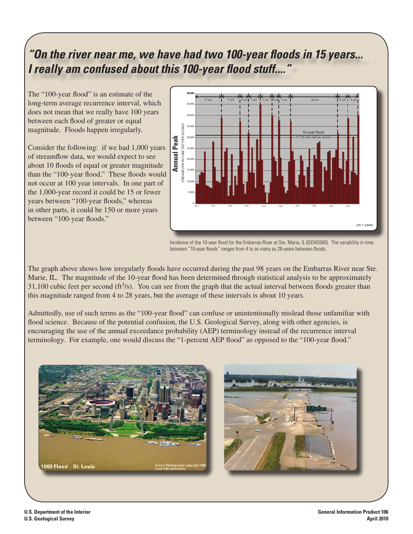## *"On the river near me, we have had two 100-year floods in 15 years... I really am confused about this 100-year flood stuff...."*

The "100-year flood" is an estimate of the long-term average recurrence interval, which does not mean that we really have 100 years between each flood of greater or equal magnitude. Floods happen irregularly.

Consider the following: if we had 1,000 years of streamflow data, we would expect to see about 10 floods of equal or greater magnitude than the "100-year flood." These floods would not occur at 100 year intervals. In one part of the 1,000-year record it could be 15 or fewer years between "100-year floods," whereas in other parts, it could be 150 or more years between "100-year floods."



Incidence of the 10-year flood for the Embarras River at Ste. Marie, IL (03345500). The variability in time between "10-year floods" ranges from 4 to as many as 28-years between floods.

The graph above shows how irregularly floods have occurred during the past 98 years on the Embarras River near Ste. Marie, IL. The magnitude of the 10-year flood has been determined through statistical analysis to be approximately 31,100 cubic feet per second  $\text{(ft}^3\text{/s)}$ . You can see from the graph that the actual interval between floods greater than this magnitude ranged from 4 to 28 years, but the average of these intervals is about 10 years.

Admittedly, use of such terms as the "100-year flood" can confuse or unintentionally mislead those unfamiliar with flood science. Because of the potential confusion, the U.S. Geological Survey, along with other agencies, is encouraging the use of the annual exceedance probability (AEP) terminology instead of the recurrence interval terminology. For example, one would discuss the "1-percent AEP flood" as opposed to the "100-year flood."



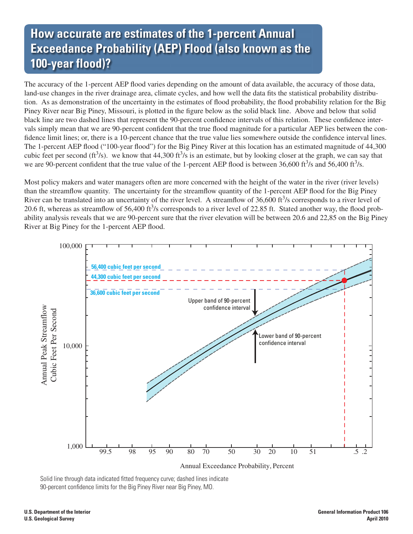## **How accurate are estimates of the 1-percent Annual Exceedance Probability (AEP) Flood (also known as the 100-year flood)?**

The accuracy of the 1-percent AEP flood varies depending on the amount of data available, the accuracy of those data, land-use changes in the river drainage area, climate cycles, and how well the data fits the statistical probability distribution. As as demonstration of the uncertainty in the estimates of flood probability, the flood probability relation for the Big Piney River near Big Piney, Missouri, is plotted in the figure below as the solid black line. Above and below that solid black line are two dashed lines that represent the 90-percent confidence intervals of this relation. These confidence intervals simply mean that we are 90-percent confident that the true flood magnitude for a particular AEP lies between the confidence limit lines; or, there is a 10-percent chance that the true value lies somewhere outside the confidence interval lines. The 1-percent AEP flood ("100-year flood") for the Big Piney River at this location has an estimated magnitude of 44,300 cubic feet per second (ft<sup>3</sup>/s). we know that 44,300 ft<sup>3</sup>/s is an estimate, but by looking closer at the graph, we can say that we are 90-percent confident that the true value of the 1-percent AEP flood is between  $36,600 \text{ ft}^3/\text{s}$  and  $56,400 \text{ ft}^3/\text{s}$ .

Most policy makers and water managers often are more concerned with the height of the water in the river (river levels) than the streamflow quantity. The uncertainty for the streamflow quantity of the 1-percent AEP flood for the Big Piney River can be translated into an uncertainty of the river level. A streamflow of  $36,600 \text{ ft}^3/\text{s}$  corresponds to a river level of 20.6 ft, whereas as streamflow of  $56,400$  ft $3$ /s corresponds to a river level of 22.85 ft. Stated another way, the flood probability analysis reveals that we are 90-percent sure that the river elevation will be between 20.6 and 22,85 on the Big Piney River at Big Piney for the 1-percent AEP flood.



Solid line through data indicated fitted frequency curve; dashed lines indicate 90-percent confidence limits for the Big Piney River near Big Piney, MO.